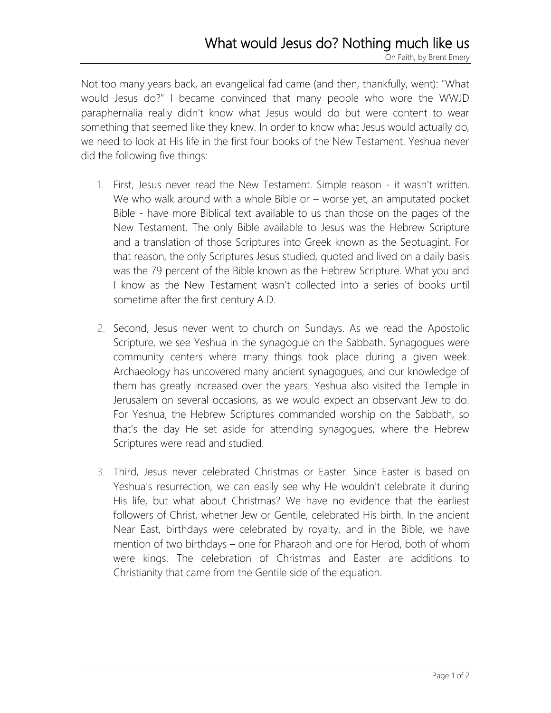Not too many years back, an evangelical fad came (and then, thankfully, went): "What would Jesus do?" I became convinced that many people who wore the WWJD paraphernalia really didn't know what Jesus would do but were content to wear something that seemed like they knew. In order to know what Jesus would actually do, we need to look at His life in the first four books of the New Testament. Yeshua never did the following five things:

- 1. First, Jesus never read the New Testament. Simple reason it wasn't written. We who walk around with a whole Bible or – worse yet, an amputated pocket Bible - have more Biblical text available to us than those on the pages of the New Testament. The only Bible available to Jesus was the Hebrew Scripture and a translation of those Scriptures into Greek known as the Septuagint. For that reason, the only Scriptures Jesus studied, quoted and lived on a daily basis was the 79 percent of the Bible known as the Hebrew Scripture. What you and I know as the New Testament wasn't collected into a series of books until sometime after the first century A.D.
- 2. Second, Jesus never went to church on Sundays. As we read the Apostolic Scripture, we see Yeshua in the synagogue on the Sabbath. Synagogues were community centers where many things took place during a given week. Archaeology has uncovered many ancient synagogues, and our knowledge of them has greatly increased over the years. Yeshua also visited the Temple in Jerusalem on several occasions, as we would expect an observant Jew to do. For Yeshua, the Hebrew Scriptures commanded worship on the Sabbath, so that's the day He set aside for attending synagogues, where the Hebrew Scriptures were read and studied.
- 3. Third, Jesus never celebrated Christmas or Easter. Since Easter is based on Yeshua's resurrection, we can easily see why He wouldn't celebrate it during His life, but what about Christmas? We have no evidence that the earliest followers of Christ, whether Jew or Gentile, celebrated His birth. In the ancient Near East, birthdays were celebrated by royalty, and in the Bible, we have mention of two birthdays – one for Pharaoh and one for Herod, both of whom were kings. The celebration of Christmas and Easter are additions to Christianity that came from the Gentile side of the equation.